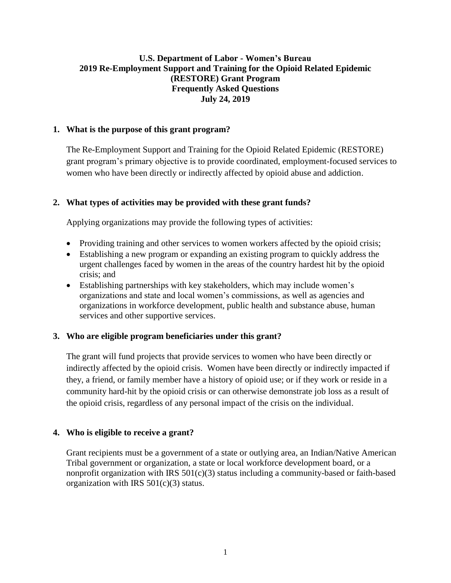# **U.S. Department of Labor - Women's Bureau 2019 Re-Employment Support and Training for the Opioid Related Epidemic (RESTORE) Grant Program Frequently Asked Questions July 24, 2019**

## **1. What is the purpose of this grant program?**

The Re-Employment Support and Training for the Opioid Related Epidemic (RESTORE) grant program's primary objective is to provide coordinated, employment-focused services to women who have been directly or indirectly affected by opioid abuse and addiction.

### **2. What types of activities may be provided with these grant funds?**

Applying organizations may provide the following types of activities:

- Providing training and other services to women workers affected by the opioid crisis;
- Establishing a new program or expanding an existing program to quickly address the urgent challenges faced by women in the areas of the country hardest hit by the opioid crisis; and
- Establishing partnerships with key stakeholders, which may include women's organizations and state and local women's commissions, as well as agencies and organizations in workforce development, public health and substance abuse, human services and other supportive services.

#### **3. Who are eligible program beneficiaries under this grant?**

The grant will fund projects that provide services to women who have been directly or indirectly affected by the opioid crisis. Women have been directly or indirectly impacted if they, a friend, or family member have a history of opioid use; or if they work or reside in a community hard-hit by the opioid crisis or can otherwise demonstrate job loss as a result of the opioid crisis, regardless of any personal impact of the crisis on the individual.

#### **4. Who is eligible to receive a grant?**

Grant recipients must be a government of a state or outlying area, an Indian/Native American Tribal government or organization, a state or local workforce development board, or a nonprofit organization with IRS  $501(c)(3)$  status including a community-based or faith-based organization with IRS 501(c)(3) status.